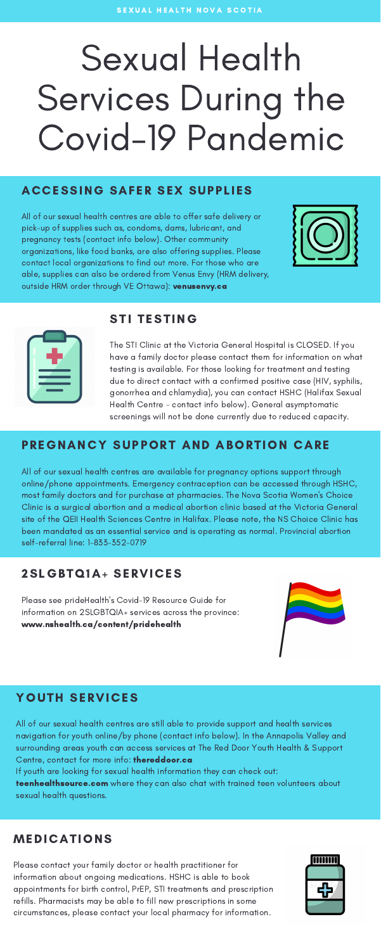# Sexual Health Services During the Covid-19 Pandemic

#### ACCESSING SAFER SEX SUPPLIES

#### PREGNANCY SUPPORT AND ABORTION CARE

All of our sexual health centres are able to offer safe delivery or pick-up of supplies such as, condoms, dams, lubricant, and pregnancy tests (contact info below). Other community organizations, like food banks, are also offering supplies. Please contact local organizations to find out more. For those who are able, supplies can also be ordered from Venus Envy (HRM delivery, outside HRM order through VE Ottawa): venusenvy.ca





All of our sexual health centres are available for pregnancy options support through online/phone appointments. Emergency contraception can be accessed through HSHC, most family doctors and for purchase at pharmacies. The Nova Scotia Women's Choice Clinic is a surgical abortion and a medical abortion clinic based at the Victoria General site of the QEII Health Sciences Centre in Halifax. Please note, the NS Choice Clinic has been mandated as an essential service and is operating as normal. Provincial abortion self-referral line: 1-833-352-0719

#### STI TESTING

The STI Clinic at the Victoria General Hospital is CLOSED. If you have a family doctor please contact them for information on what testing is available. For those looking for treatment and testing due to direct contact with a confirmed positive case (HIV, syphilis, gonorrhea and chlamydia), you can contact HSHC (Halifax Sexual Health Centre - contact info below). General asymptomatic screenings will not be done currently due to reduced capacity.

#### MEDICATIONS

Please contact your family doctor or health practitioner for information about ongoing medications. HSHC is able to book appointments for birth control, PrEP, STI treatments and prescription refills. Pharmacists may be able to fill new prescriptions in some circumstances, please contact your local pharmacy for information.



#### 2SLGBTQ1A+ SERVICES

Please see prideHealth's Covid-19 Resource Guide for information on 2SLGBTQIA+ services across the province: www.nshealth.ca/content/pridehealth



### YOUTH SERVICES

All of our sexual health centres are still able to provide support and health services navigation for youth online/by phone (contact info below). In the Annapolis Valley and surrounding areas youth can access services at The Red Door Youth Health & Support Centre, contact for more info: thereddoor.ca If youth are looking for sexual health information they can check out: teenhealthsource.com where they can also chat with trained teen volunteers about sexual health questions.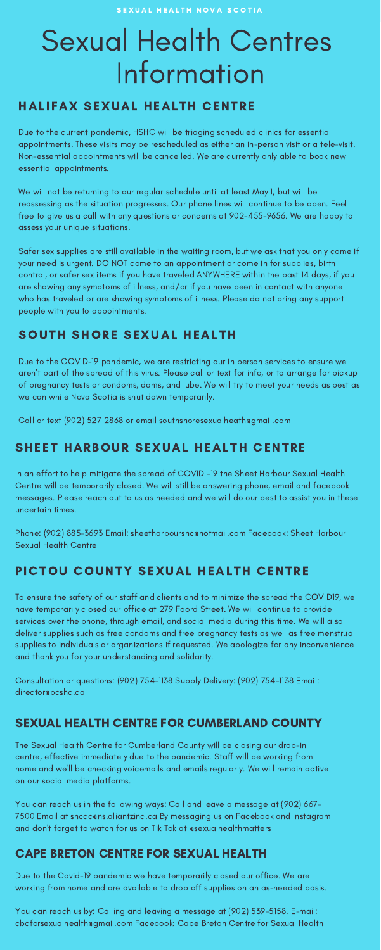## Sexual Health Centres Information

### HALIFAX SEXUAL HEALTH CENTRE

The Sexual Health Centre for Cumberland County will be closing our drop-in centre, effective immediately due to the pandemic. Staff will be working from home and we'll be checking voicemails and emails regularly. We will remain active on our social media platforms.

You can reach us in the following ways: Call and leave a message at (902) 667- 7500 Email at shccc@ns.aliantzinc.ca By messaging us on Facebook and Instagram and don't forget to watch for us on Tik Tok at @sexualhealthmatters

#### SEXUAL HEALTH CENTRE FOR CUMBERLAND COUNTY

### SOUTH SHORE SEXUAL HEALTH

Due to the COVID-19 pandemic, we are restricting our in person services to ensure we aren't part of the spread of this virus. Please call or text for info, or to arrange for pickup of pregnancy tests or condoms, dams, and lube. We will try to meet your needs as best as we can while Nova Scotia is shut down temporarily.

Call or text (902) 527 2868 or email southshoresexualheathegmail.com

### SHEET HARBOUR SEXUAL HEALTH CENTRE

In an effort to help mitigate the spread of COVID -19 the Sheet Harbour Sexual Health Centre will be temporarily closed. We will still be answering phone, email and facebook messages. Please reach out to us as needed and we will do our best to assist you in these uncertain times.

Phone: (902) 885-3693 Email: sheetharbourshc@hotmail.com Facebook: Sheet Harbour Sexual Health Centre

#### PICTOU COUNTY SEXUAL HEALTH CENTRE

You can reach us by: Calling and leaving a message at (902) 539-5158. E-mail: cbcforsexualhealth@gmail.com Facebook: Cape Breton Centre for Sexual Health

To ensure the safety of our staff and clients and to minimize the spread the COVID19, we have temporarily closed our office at 279 Foord Street. We will continue to provide services over the phone, through email, and social media during this time. We will also deliver supplies such as free condoms and free pregnancy tests as well as free menstrual supplies to individuals or organizations if requested. We apologize for any inconvenience and thank you for your understanding and solidarity.

Consultation or questions: (902) 754-1138 Supply Delivery: (902) 754-1138 Email: director@pcshc.ca

Due to the current pandemic, HSHC will be triaging scheduled clinics for essential appointments. These visits may be rescheduled as either an in-person visit or a tele-visit. Non-essential appointments will be cancelled. We are currently only able to book new essential appointments.

We will not be returning to our regular schedule until at least May 1, but will be reassessing as the situation progresses. Our phone lines will continue to be open. Feel free to give us a call with any questions or concerns at 902-455-9656. We are happy to assess your unique situations.

Safer sex supplies are still available in the waiting room, but we ask that you only come if your need is urgent. DO NOT come to an appointment or come in for supplies, birth control, or safer sex items if you have traveled ANYWHERE within the past 14 days, if you are showing any symptoms of illness, and/or if you have been in contact with anyone who has traveled or are showing symptoms of illness. Please do not bring any support people with you to appointments.

Due to the Covid-19 pandemic we have temporarily closed our office. We are working from home and are available to drop off supplies on an as-needed basis.

#### CAPE BRETON CENTRE FOR SEXUAL HEALTH